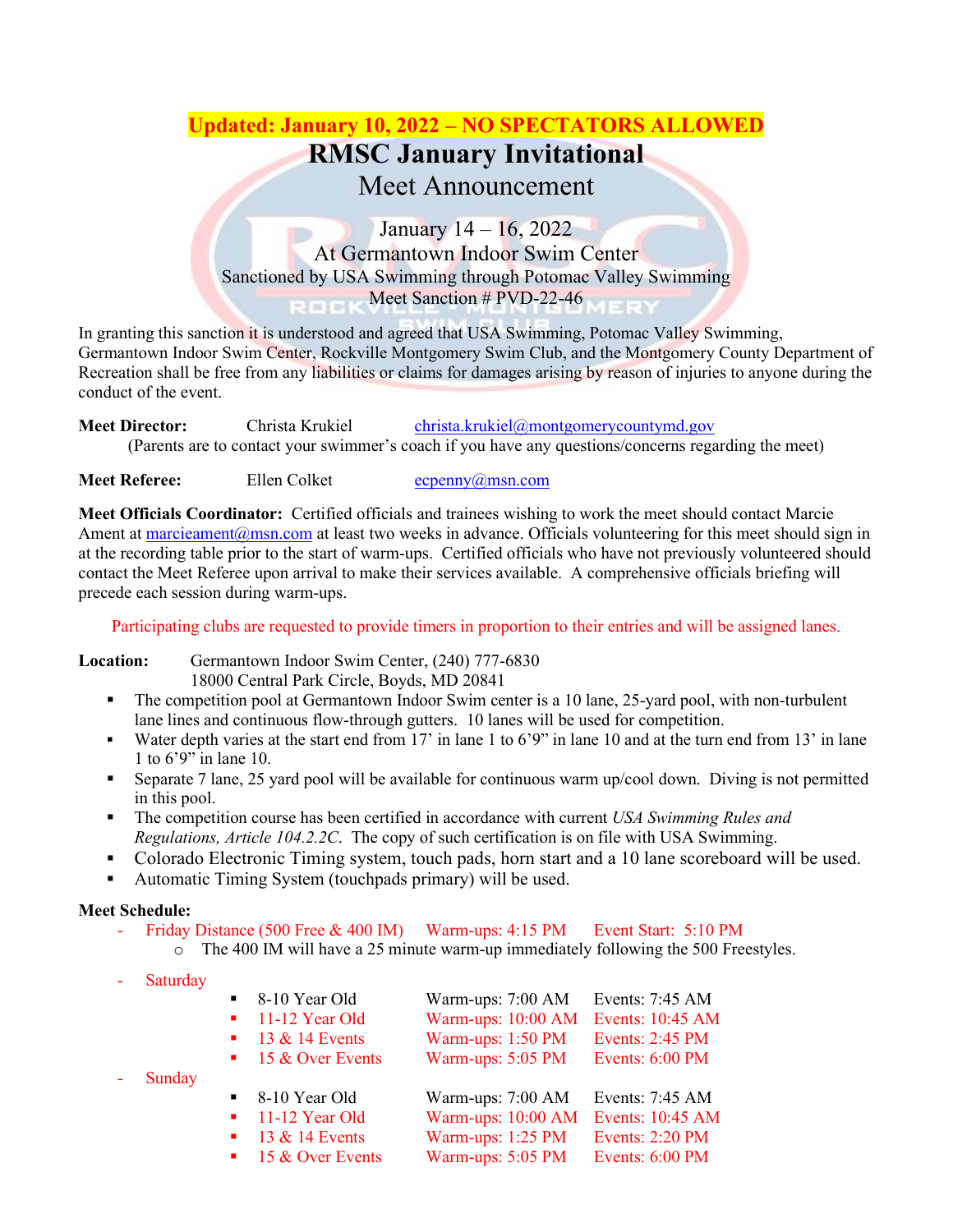# **Updated: January 10, 2022 – NO SPECTATORS ALLOWED RMSC January Invitational**

## Meet Announcement

January 14 – 16, 2022 At Germantown Indoor Swim Center Sanctioned by USA Swimming through Potomac Valley Swimming Meet Sanction # PVD-22-46

In granting this sanction it is understood and agreed that USA Swimming, Potomac Valley Swimming, Germantown Indoor Swim Center, Rockville Montgomery Swim Club, and the Montgomery County Department of Recreation shall be free from any liabilities or claims for damages arising by reason of injuries to anyone during the conduct of the event.

**Meet Director:** Christa Krukiel [christa.krukiel@montgomerycountymd.gov](mailto:christa.krukiel@montgomerycountymd.gov) (Parents are to contact your swimmer's coach if you have any questions/concerns regarding the meet)

**Meet Referee:** Ellen Colket expension expension expension Ellen Colket expension expension experience

**Meet Officials Coordinator:** Certified officials and trainees wishing to work the meet should contact Marcie Ament at marcieament $@$ msn.com at least two weeks in advance. Officials volunteering for this meet should sign in at the recording table prior to the start of warm-ups. Certified officials who have not previously volunteered should contact the Meet Referee upon arrival to make their services available. A comprehensive officials briefing will precede each session during warm-ups.

Participating clubs are requested to provide timers in proportion to their entries and will be assigned lanes.

#### **Location:** Germantown Indoor Swim Center, (240) 777-6830 18000 Central Park Circle, Boyds, MD 20841

- The competition pool at Germantown Indoor Swim center is a 10 lane, 25-yard pool, with non-turbulent lane lines and continuous flow-through gutters. 10 lanes will be used for competition.
- Water depth varies at the start end from 17' in lane 1 to 6'9" in lane 10 and at the turn end from 13' in lane 1 to 6'9" in lane 10.
- Separate 7 lane, 25 yard pool will be available for continuous warm up/cool down. Diving is not permitted in this pool.
- The competition course has been certified in accordance with current *USA Swimming Rules and Regulations, Article 104.2.2C*. The copy of such certification is on file with USA Swimming.
- Colorado Electronic Timing system, touch pads, horn start and a 10 lane scoreboard will be used.
- Automatic Timing System (touchpads primary) will be used.

## **Meet Schedule:**

- Friday Distance (500 Free & 400 IM) Warm-ups: 4:15 PM Event Start: 5:10 PM
	- o The 400 IM will have a 25 minute warm-up immediately following the 500 Freestyles.
- **Saturday**

**Sunday** 

| Events: 7:45 AM        |
|------------------------|
| Events: 10:45 AM       |
| <b>Events: 2:45 PM</b> |
| Events: 6:00 PM        |
|                        |
| Events: 7:45 AM        |
|                        |
| Events: 10:45 AM       |
| <b>Events: 2:20 PM</b> |
|                        |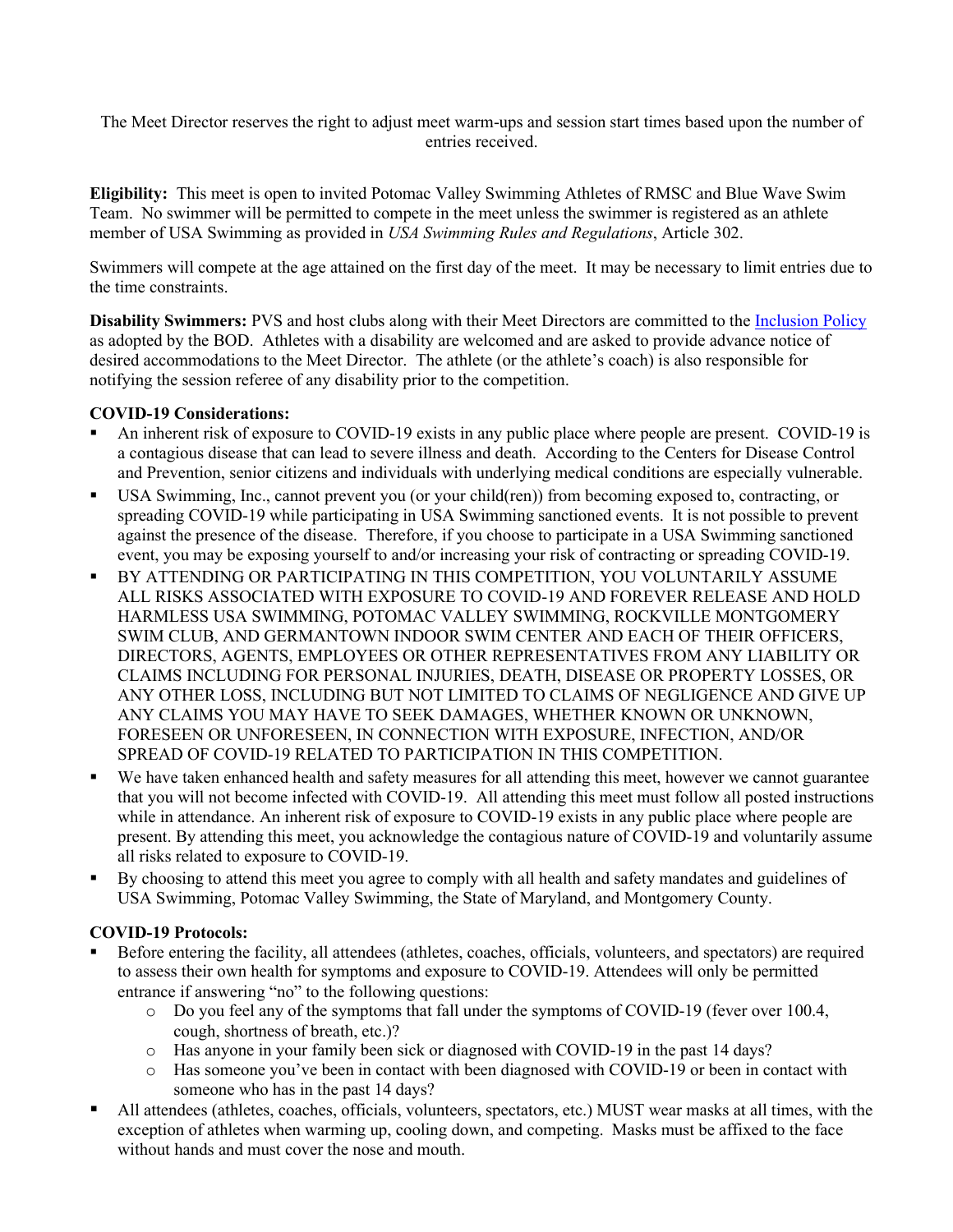The Meet Director reserves the right to adjust meet warm-ups and session start times based upon the number of entries received.

**Eligibility:** This meet is open to invited Potomac Valley Swimming Athletes of RMSC and Blue Wave Swim Team. No swimmer will be permitted to compete in the meet unless the swimmer is registered as an athlete member of USA Swimming as provided in *USA Swimming Rules and Regulations*, Article 302.

Swimmers will compete at the age attained on the first day of the meet. It may be necessary to limit entries due to the time constraints.

**Disability Swimmers:** PVS and host clubs along with their Meet Directors are committed to the [Inclusion Policy](http://www.pvswim.org/disability/inclusion_policy.html) as adopted by the BOD. Athletes with a disability are welcomed and are asked to provide advance notice of desired accommodations to the Meet Director. The athlete (or the athlete's coach) is also responsible for notifying the session referee of any disability prior to the competition.

#### **COVID-19 Considerations:**

- An inherent risk of exposure to COVID-19 exists in any public place where people are present. COVID-19 is a contagious disease that can lead to severe illness and death. According to the Centers for Disease Control and Prevention, senior citizens and individuals with underlying medical conditions are especially vulnerable.
- USA Swimming, Inc., cannot prevent you (or your child(ren)) from becoming exposed to, contracting, or spreading COVID-19 while participating in USA Swimming sanctioned events. It is not possible to prevent against the presence of the disease. Therefore, if you choose to participate in a USA Swimming sanctioned event, you may be exposing yourself to and/or increasing your risk of contracting or spreading COVID-19.
- BY ATTENDING OR PARTICIPATING IN THIS COMPETITION, YOU VOLUNTARILY ASSUME ALL RISKS ASSOCIATED WITH EXPOSURE TO COVID-19 AND FOREVER RELEASE AND HOLD HARMLESS USA SWIMMING, POTOMAC VALLEY SWIMMING, ROCKVILLE MONTGOMERY SWIM CLUB, AND GERMANTOWN INDOOR SWIM CENTER AND EACH OF THEIR OFFICERS, DIRECTORS, AGENTS, EMPLOYEES OR OTHER REPRESENTATIVES FROM ANY LIABILITY OR CLAIMS INCLUDING FOR PERSONAL INJURIES, DEATH, DISEASE OR PROPERTY LOSSES, OR ANY OTHER LOSS, INCLUDING BUT NOT LIMITED TO CLAIMS OF NEGLIGENCE AND GIVE UP ANY CLAIMS YOU MAY HAVE TO SEEK DAMAGES, WHETHER KNOWN OR UNKNOWN, FORESEEN OR UNFORESEEN, IN CONNECTION WITH EXPOSURE, INFECTION, AND/OR SPREAD OF COVID-19 RELATED TO PARTICIPATION IN THIS COMPETITION.
- We have taken enhanced health and safety measures for all attending this meet, however we cannot guarantee that you will not become infected with COVID-19. All attending this meet must follow all posted instructions while in attendance. An inherent risk of exposure to COVID-19 exists in any public place where people are present. By attending this meet, you acknowledge the contagious nature of COVID-19 and voluntarily assume all risks related to exposure to COVID-19.
- By choosing to attend this meet you agree to comply with all health and safety mandates and guidelines of USA Swimming, Potomac Valley Swimming, the State of Maryland, and Montgomery County.

### **COVID-19 Protocols:**

- Before entering the facility, all attendees (athletes, coaches, officials, volunteers, and spectators) are required to assess their own health for symptoms and exposure to COVID-19. Attendees will only be permitted entrance if answering "no" to the following questions:
	- o Do you feel any of the symptoms that fall under the symptoms of COVID-19 (fever over 100.4, cough, shortness of breath, etc.)?
	- o Has anyone in your family been sick or diagnosed with COVID-19 in the past 14 days?
	- o Has someone you've been in contact with been diagnosed with COVID-19 or been in contact with someone who has in the past 14 days?
- All attendees (athletes, coaches, officials, volunteers, spectators, etc.) MUST wear masks at all times, with the exception of athletes when warming up, cooling down, and competing. Masks must be affixed to the face without hands and must cover the nose and mouth.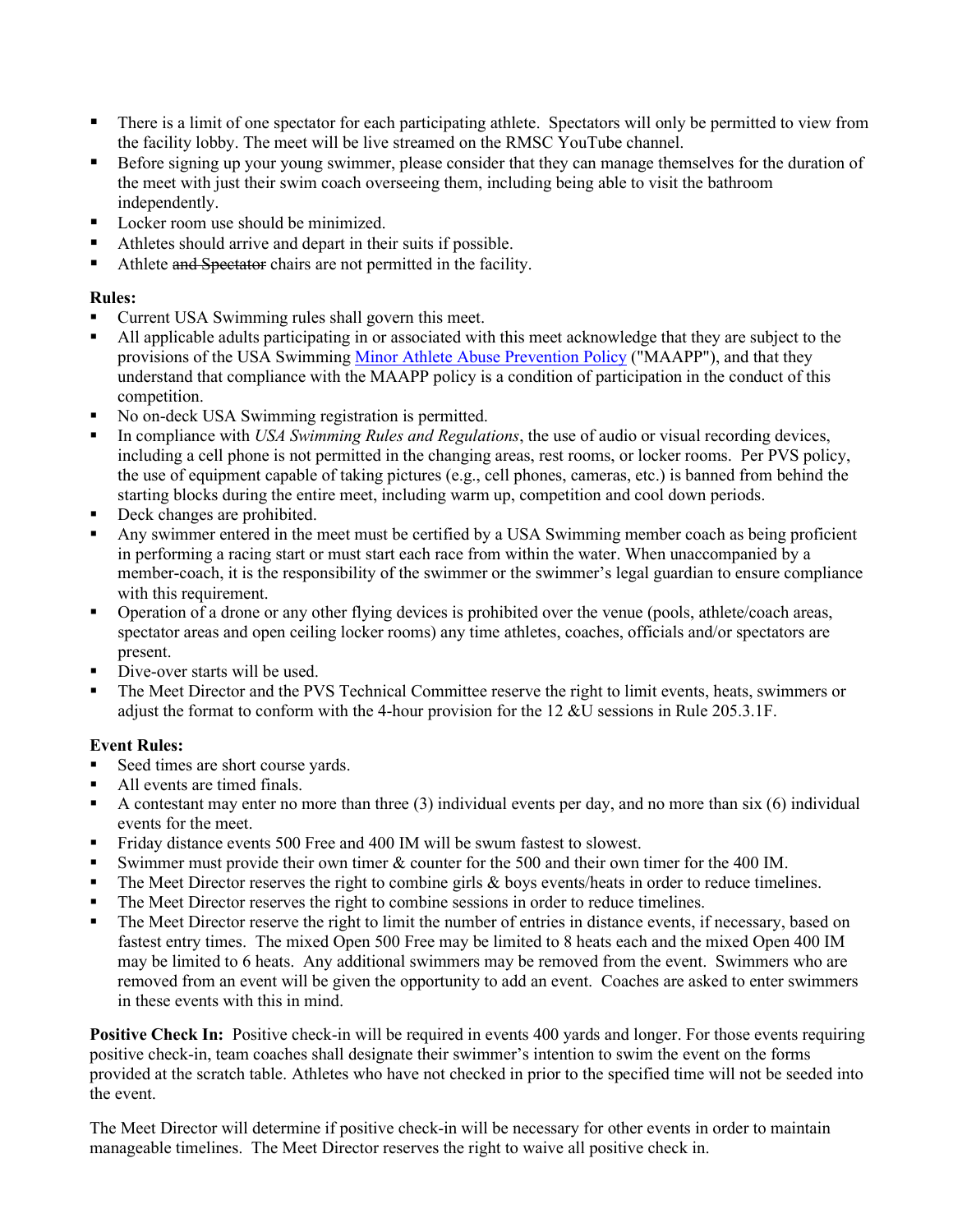- There is a limit of one spectator for each participating athlete. Spectators will only be permitted to view from the facility lobby. The meet will be live streamed on the RMSC YouTube channel.
- Before signing up your young swimmer, please consider that they can manage themselves for the duration of the meet with just their swim coach overseeing them, including being able to visit the bathroom independently.
- Locker room use should be minimized.
- Athletes should arrive and depart in their suits if possible.
- Athlete and Spectator chairs are not permitted in the facility.

### **Rules:**

- Current USA Swimming rules shall govern this meet.
- All applicable adults participating in or associated with this meet acknowledge that they are subject to the provisions of the USA Swimming [Minor Athlete Abuse Prevention Policy](https://www.usaswimming.org/safe-sport/minor-athlete-abuse-prevention-policy) ("MAAPP"), and that they understand that compliance with the MAAPP policy is a condition of participation in the conduct of this competition.
- No on-deck USA Swimming registration is permitted.
- In compliance with *USA Swimming Rules and Regulations*, the use of audio or visual recording devices, including a cell phone is not permitted in the changing areas, rest rooms, or locker rooms. Per PVS policy, the use of equipment capable of taking pictures (e.g., cell phones, cameras, etc.) is banned from behind the starting blocks during the entire meet, including warm up, competition and cool down periods.
- Deck changes are prohibited.
- Any swimmer entered in the meet must be certified by a USA Swimming member coach as being proficient in performing a racing start or must start each race from within the water. When unaccompanied by a member-coach, it is the responsibility of the swimmer or the swimmer's legal guardian to ensure compliance with this requirement.
- **•** Operation of a drone or any other flying devices is prohibited over the venue (pools, athlete/coach areas, spectator areas and open ceiling locker rooms) any time athletes, coaches, officials and/or spectators are present.
- Dive-over starts will be used.
- The Meet Director and the PVS Technical Committee reserve the right to limit events, heats, swimmers or adjust the format to conform with the 4-hour provision for the 12 &U sessions in Rule 205.3.1F.

### **Event Rules:**

- Seed times are short course yards.
- All events are timed finals.
- A contestant may enter no more than three  $(3)$  individual events per day, and no more than six  $(6)$  individual events for the meet.
- Friday distance events 500 Free and 400 IM will be swum fastest to slowest.
- Swimmer must provide their own timer & counter for the 500 and their own timer for the 400 IM.
- $\blacksquare$  The Meet Director reserves the right to combine girls & boys events/heats in order to reduce timelines.
- The Meet Director reserves the right to combine sessions in order to reduce timelines.
- The Meet Director reserve the right to limit the number of entries in distance events, if necessary, based on fastest entry times. The mixed Open 500 Free may be limited to 8 heats each and the mixed Open 400 IM may be limited to 6 heats. Any additional swimmers may be removed from the event. Swimmers who are removed from an event will be given the opportunity to add an event. Coaches are asked to enter swimmers in these events with this in mind.

**Positive Check In:** Positive check-in will be required in events 400 yards and longer. For those events requiring positive check-in, team coaches shall designate their swimmer's intention to swim the event on the forms provided at the scratch table. Athletes who have not checked in prior to the specified time will not be seeded into the event.

The Meet Director will determine if positive check-in will be necessary for other events in order to maintain manageable timelines. The Meet Director reserves the right to waive all positive check in.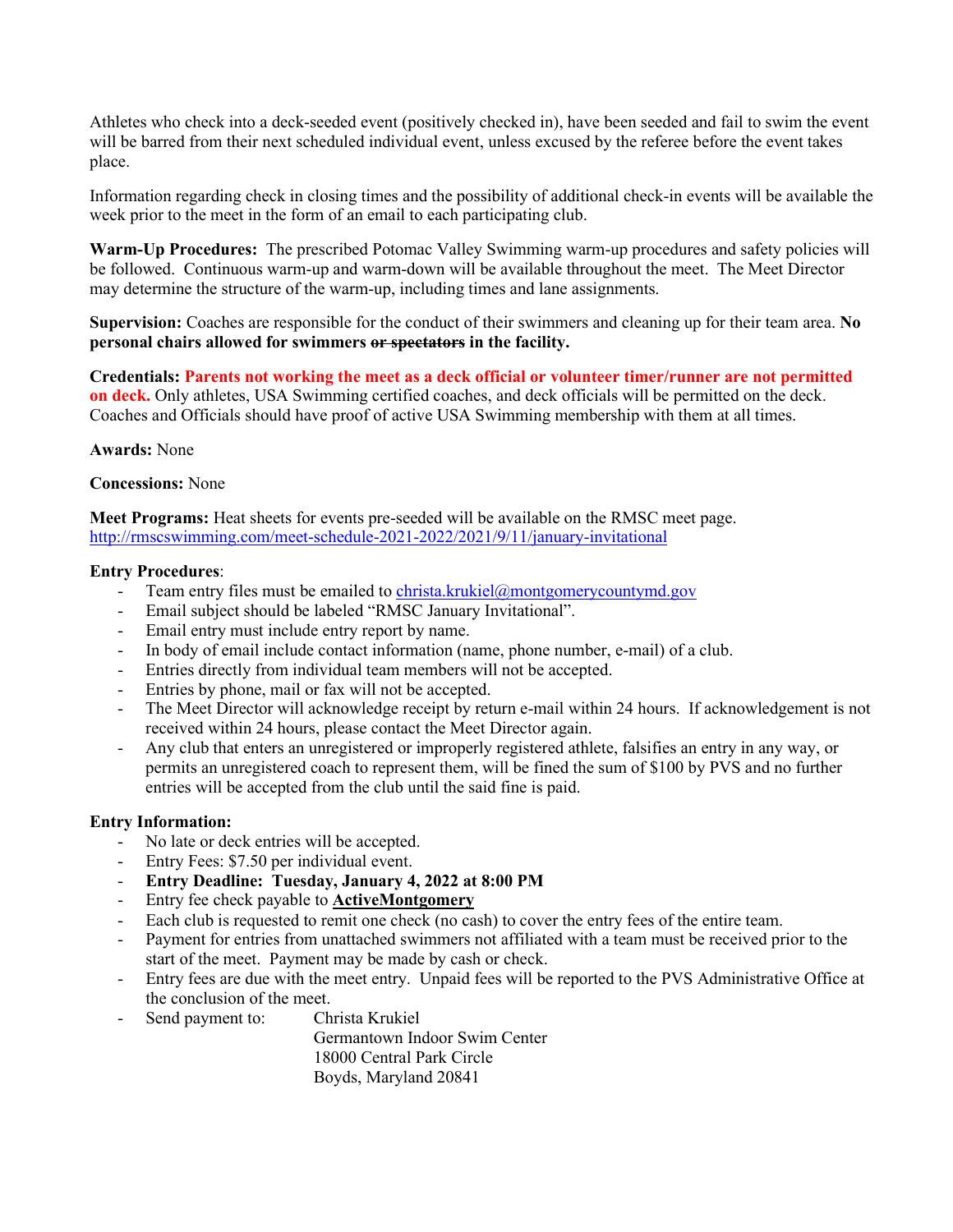Athletes who check into a deck-seeded event (positively checked in), have been seeded and fail to swim the event will be barred from their next scheduled individual event, unless excused by the referee before the event takes place.

Information regarding check in closing times and the possibility of additional check-in events will be available the week prior to the meet in the form of an email to each participating club.

**Warm-Up Procedures:** The prescribed Potomac Valley Swimming warm-up procedures and safety policies will be followed. Continuous warm-up and warm-down will be available throughout the meet. The Meet Director may determine the structure of the warm-up, including times and lane assignments.

**Supervision:** Coaches are responsible for the conduct of their swimmers and cleaning up for their team area. **No personal chairs allowed for swimmers or spectators in the facility.** 

**Credentials: Parents not working the meet as a deck official or volunteer timer/runner are not permitted on deck.** Only athletes, USA Swimming certified coaches, and deck officials will be permitted on the deck. Coaches and Officials should have proof of active USA Swimming membership with them at all times.

**Awards:** None

#### **Concessions:** None

**Meet Programs:** Heat sheets for events pre-seeded will be available on the RMSC meet page. <http://rmscswimming.com/meet-schedule-2021-2022/2021/9/11/january-invitational>

#### **Entry Procedures**:

- Team entry files must be emailed t[o christa.krukiel@montgomerycountymd.gov](mailto:christa.krukiel@montgomerycountymd.gov)
- Email subject should be labeled "RMSC January Invitational".
- Email entry must include entry report by name.
- In body of email include contact information (name, phone number, e-mail) of a club.
- Entries directly from individual team members will not be accepted.
- Entries by phone, mail or fax will not be accepted.
- The Meet Director will acknowledge receipt by return e-mail within 24 hours. If acknowledgement is not received within 24 hours, please contact the Meet Director again.
- Any club that enters an unregistered or improperly registered athlete, falsifies an entry in any way, or permits an unregistered coach to represent them, will be fined the sum of \$100 by PVS and no further entries will be accepted from the club until the said fine is paid.

### **Entry Information:**

- No late or deck entries will be accepted.
- Entry Fees: \$7.50 per individual event.
- **Entry Deadline: Tuesday, January 4, 2022 at 8:00 PM**
- Entry fee check payable to **ActiveMontgomery**
- Each club is requested to remit one check (no cash) to cover the entry fees of the entire team.
- Payment for entries from unattached swimmers not affiliated with a team must be received prior to the start of the meet. Payment may be made by cash or check.
- Entry fees are due with the meet entry. Unpaid fees will be reported to the PVS Administrative Office at the conclusion of the meet.
- Send payment to: Christa Krukiel

Germantown Indoor Swim Center 18000 Central Park Circle Boyds, Maryland 20841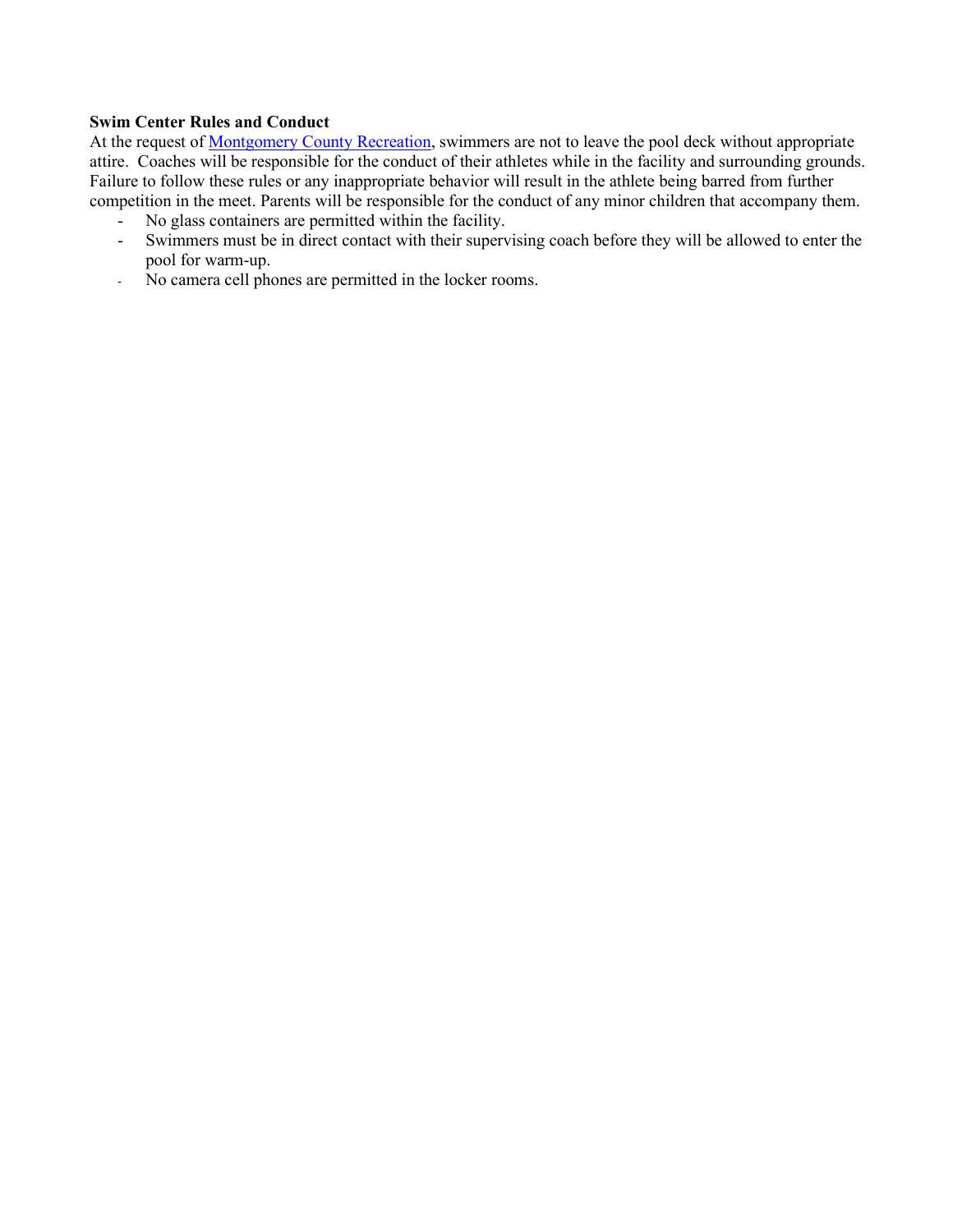#### **Swim Center Rules and Conduct**

At the request of [Montgomery County Recreation,](http://www.montgomerycountymd.gov/rectmpl.asp?url=/content/rec/aqua.asp) swimmers are not to leave the pool deck without appropriate attire. Coaches will be responsible for the conduct of their athletes while in the facility and surrounding grounds. Failure to follow these rules or any inappropriate behavior will result in the athlete being barred from further competition in the meet. Parents will be responsible for the conduct of any minor children that accompany them.

- No glass containers are permitted within the facility.
- Swimmers must be in direct contact with their supervising coach before they will be allowed to enter the pool for warm-up.
- No camera cell phones are permitted in the locker rooms.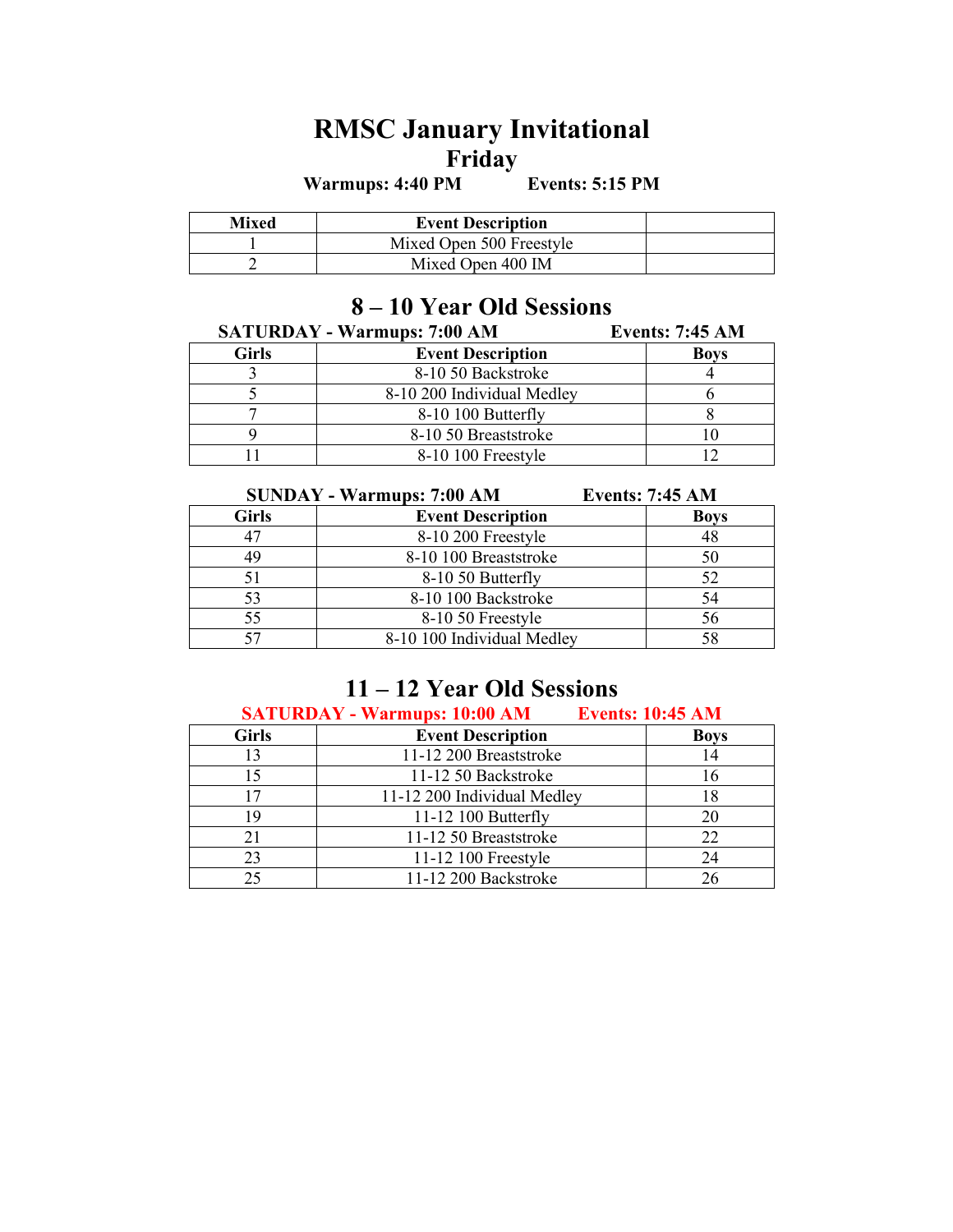# **RMSC January Invitational Friday**

**Warmups: 4:40 PM Events: 5:15 PM**

| Mixed | <b>Event Description</b> |  |
|-------|--------------------------|--|
|       | Mixed Open 500 Freestyle |  |
|       | Mixed Open 400 IM        |  |

## **– 10 Year Old Sessions**

| <b>SATURDAY - Warmups: 7:00 AM</b> |                            | <b>Events: 7:45 AM</b> |
|------------------------------------|----------------------------|------------------------|
| <b>Girls</b>                       | <b>Event Description</b>   | <b>Boys</b>            |
|                                    | 8-10 50 Backstroke         |                        |
|                                    | 8-10 200 Individual Medley |                        |
|                                    | 8-10 100 Butterfly         |                        |
|                                    | 8-10 50 Breaststroke       |                        |
|                                    | 8-10 100 Freestyle         |                        |

| <b>SUNDAY - Warmups: 7:00 AM</b> |                            | <b>Events: 7:45 AM</b> |
|----------------------------------|----------------------------|------------------------|
| <b>Girls</b>                     | <b>Event Description</b>   | <b>Boys</b>            |
| 47                               | 8-10 200 Freestyle         | 48                     |
| 49                               | 8-10 100 Breaststroke      | 50                     |
| 51                               | 8-10 50 Butterfly          | 52                     |
| 53                               | 8-10 100 Backstroke        | 54                     |
| 55                               | 8-10 50 Freestyle          | 56                     |
| 57                               | 8-10 100 Individual Medley | 58                     |

## **11 – 12 Year Old Sessions**

**SATURDAY - Warmups: 10:00 AM Events: 10:45 AM**

| <b>Girls</b> | <b>Event Description</b>    | <b>Boys</b> |
|--------------|-----------------------------|-------------|
| 13           | 11-12 200 Breaststroke      | 14          |
|              | 11-12 50 Backstroke         |             |
|              | 11-12 200 Individual Medley |             |
| 19           | 11-12 100 Butterfly         | 20          |
|              | 11-12 50 Breaststroke       | 22          |
| 23           | 11-12 100 Freestyle         | 24          |
| 25           | 11-12 200 Backstroke        |             |